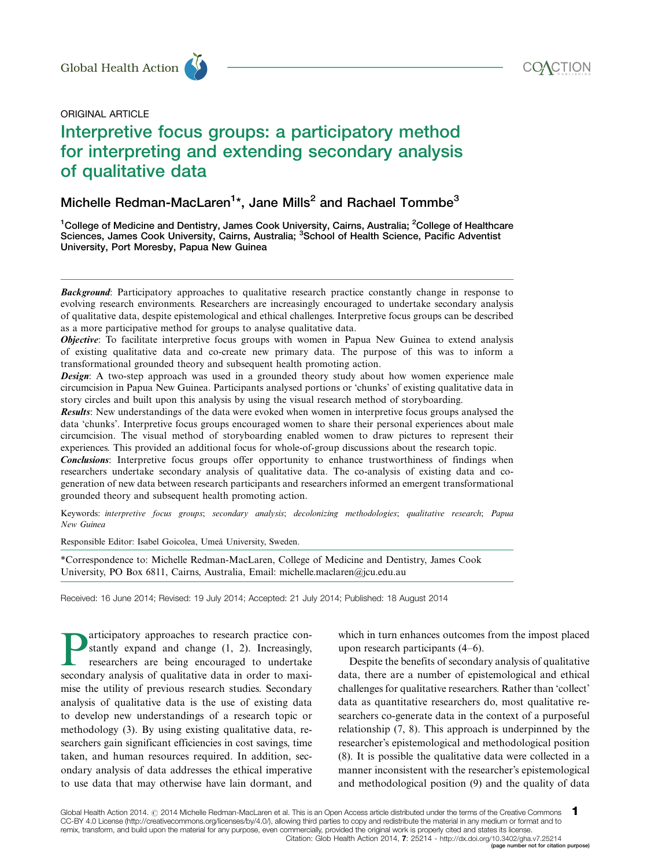

# ORIGINAL ARTICLE

# Interpretive focus groups: a participatory method for interpreting and extending secondary analysis of qualitative data Global Health Action<br>
ORIGINAL ARTICLE<br>
Interpretive focus groups: a participatory method

# Michelle Redman-MacLaren<sup>1</sup>\*, Jane Mills<sup>2</sup> and Rachael Tommbe<sup>3</sup>

<sup>1</sup>College of Medicine and Dentistry, James Cook University, Cairns, Australia; <sup>2</sup>College of Healthcare Sciences, James Cook University, Cairns, Australia; <sup>3</sup>School of Health Science, Pacific Adventist University, Port Moresby, Papua New Guinea

**Background:** Participatory approaches to qualitative research practice constantly change in response to evolving research environments. Researchers are increasingly encouraged to undertake secondary analysis of qualitative data, despite epistemological and ethical challenges. Interpretive focus groups can be described as a more participative method for groups to analyse qualitative data.

**Objective:** To facilitate interpretive focus groups with women in Papua New Guinea to extend analysis of existing qualitative data and co-create new primary data. The purpose of this was to inform a transformational grounded theory and subsequent health promoting action.

**Design:** A two-step approach was used in a grounded theory study about how women experience male circumcision in Papua New Guinea. Participants analysed portions or 'chunks' of existing qualitative data in story circles and built upon this analysis by using the visual research method of storyboarding.

Results: New understandings of the data were evoked when women in interpretive focus groups analysed the data 'chunks'. Interpretive focus groups encouraged women to share their personal experiences about male circumcision. The visual method of storyboarding enabled women to draw pictures to represent their experiences. This provided an additional focus for whole-of-group discussions about the research topic.

Conclusions: Interpretive focus groups offer opportunity to enhance trustworthiness of findings when researchers undertake secondary analysis of qualitative data. The co-analysis of existing data and cogeneration of new data between research participants and researchers informed an emergent transformational grounded theory and subsequent health promoting action.

Keywords: interpretive focus groups; secondary analysis; decolonizing methodologies; qualitative research; Papua New Guinea

Responsible Editor: Isabel Goicolea, Umeå University, Sweden.

\*Correspondence to: Michelle Redman-MacLaren, College of Medicine and Dentistry, James Cook University, PO Box 6811, Cairns, Australia, Email: michelle.maclaren@jcu.edu.au

Received: 16 June 2014; Revised: 19 July 2014; Accepted: 21 July 2014; Published: 18 August 2014

articipatory approaches to research practice constantly expand and change  $(1, 2)$ . Increasingly, researchers are being encouraged to undertake secondary analysis of qualitative data in order to maximise the utility of previous research studies. Secondary analysis of qualitative data is the use of existing data to develop new understandings of a research topic or methodology (3). By using existing qualitative data, researchers gain significant efficiencies in cost savings, time taken, and human resources required. In addition, secondary analysis of data addresses the ethical imperative to use data that may otherwise have lain dormant, and

which in turn enhances outcomes from the impost placed upon research participants (4-6).

Despite the benefits of secondary analysis of qualitative data, there are a number of epistemological and ethical challenges for qualitative researchers. Rather than 'collect' data as quantitative researchers do, most qualitative researchers co-generate data in the context of a purposeful relationship (7, 8). This approach is underpinned by the researcher's epistemological and methodological position (8). It is possible the qualitative data were collected in a manner inconsistent with the researcher's epistemological and methodological position (9) and the quality of data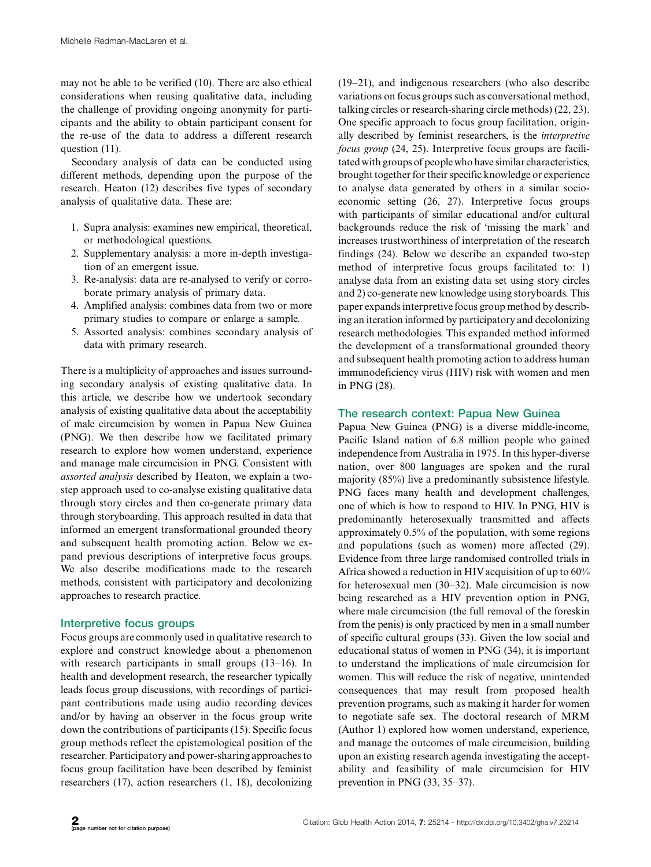may not be able to be verified (10). There are also ethical considerations when reusing qualitative data, including the challenge of providing ongoing anonymity for participants and the ability to obtain participant consent for the re-use of the data to address a different research question (11).

Secondary analysis of data can be conducted using different methods, depending upon the purpose of the research. Heaton (12) describes five types of secondary analysis of qualitative data. These are:

- 1. Supra analysis: examines new empirical, theoretical, or methodological questions.
- 2. Supplementary analysis: a more in-depth investigation of an emergent issue.
- 3. Re-analysis: data are re-analysed to verify or corroborate primary analysis of primary data.
- 4. Amplified analysis: combines data from two or more primary studies to compare or enlarge a sample.
- 5. Assorted analysis: combines secondary analysis of data with primary research.

There is a multiplicity of approaches and issues surrounding secondary analysis of existing qualitative data. In this article, we describe how we undertook secondary analysis of existing qualitative data about the acceptability of male circumcision by women in Papua New Guinea (PNG). We then describe how we facilitated primary research to explore how women understand, experience and manage male circumcision in PNG. Consistent with assorted analysis described by Heaton, we explain a twostep approach used to co-analyse existing qualitative data through story circles and then co-generate primary data through storyboarding. This approach resulted in data that informed an emergent transformational grounded theory and subsequent health promoting action. Below we expand previous descriptions of interpretive focus groups. We also describe modifications made to the research methods, consistent with participatory and decolonizing approaches to research practice.

### Interpretive focus groups

Focus groups are commonly used in qualitative research to explore and construct knowledge about a phenomenon with research participants in small groups (13-16). In health and development research, the researcher typically leads focus group discussions, with recordings of participant contributions made using audio recording devices and/or by having an observer in the focus group write down the contributions of participants (15). Specific focus group methods reflect the epistemological position of the researcher. Participatory and power-sharing approaches to focus group facilitation have been described by feminist researchers (17), action researchers (1, 18), decolonizing

(19-21), and indigenous researchers (who also describe variations on focus groups such as conversational method, talking circles or research-sharing circle methods) (22, 23). One specific approach to focus group facilitation, originally described by feminist researchers, is the interpretive focus group (24, 25). Interpretive focus groups are facilitatedwith groups of people who have similar characteristics, brought together for their specific knowledge or experience to analyse data generated by others in a similar socioeconomic setting (26, 27). Interpretive focus groups with participants of similar educational and/or cultural backgrounds reduce the risk of 'missing the mark' and increases trustworthiness of interpretation of the research findings (24). Below we describe an expanded two-step method of interpretive focus groups facilitated to: 1) analyse data from an existing data set using story circles and 2) co-generate new knowledge using storyboards. This paper expands interpretive focus group method by describing an iteration informed by participatory and decolonizing research methodologies. This expanded method informed the development of a transformational grounded theory and subsequent health promoting action to address human immunodeficiency virus (HIV) risk with women and men in PNG (28).

#### The research context: Papua New Guinea

Papua New Guinea (PNG) is a diverse middle-income, Pacific Island nation of 6.8 million people who gained independence from Australia in 1975. In this hyper-diverse nation, over 800 languages are spoken and the rural majority (85%) live a predominantly subsistence lifestyle. PNG faces many health and development challenges, one of which is how to respond to HIV. In PNG, HIV is predominantly heterosexually transmitted and affects approximately 0.5% of the population, with some regions and populations (such as women) more affected (29). Evidence from three large randomised controlled trials in Africa showed a reduction in HIV acquisition of up to 60% for heterosexual men (30-32). Male circumcision is now being researched as a HIV prevention option in PNG, where male circumcision (the full removal of the foreskin from the penis) is only practiced by men in a small number of specific cultural groups (33). Given the low social and educational status of women in PNG (34), it is important to understand the implications of male circumcision for women. This will reduce the risk of negative, unintended consequences that may result from proposed health prevention programs, such as making it harder for women to negotiate safe sex. The doctoral research of MRM (Author 1) explored how women understand, experience, and manage the outcomes of male circumcision, building upon an existing research agenda investigating the acceptability and feasibility of male circumcision for HIV prevention in PNG (33, 35-37).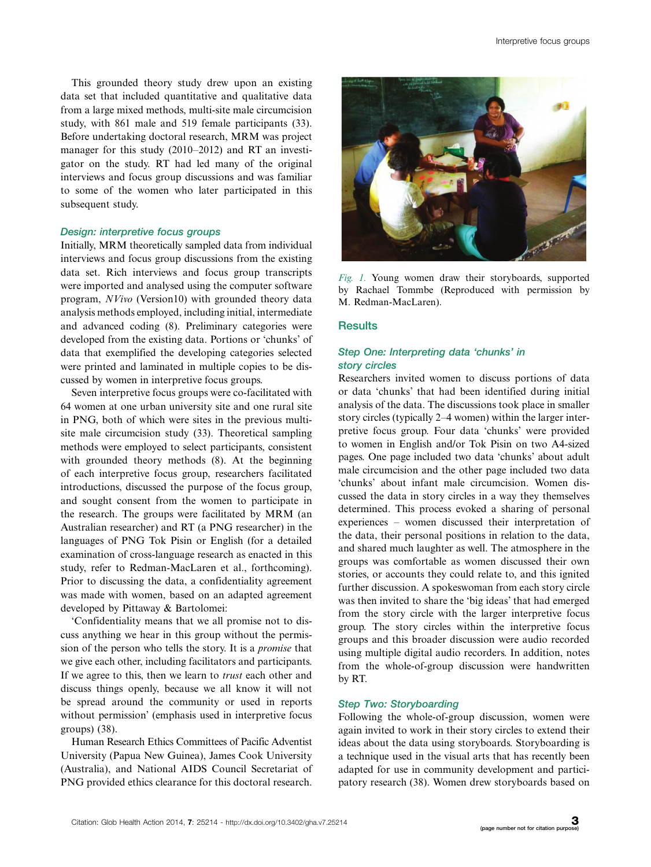This grounded theory study drew upon an existing data set that included quantitative and qualitative data from a large mixed methods, multi-site male circumcision study, with 861 male and 519 female participants (33). Before undertaking doctoral research, MRM was project manager for this study (2010-2012) and RT an investigator on the study. RT had led many of the original interviews and focus group discussions and was familiar to some of the women who later participated in this subsequent study.

#### Design: interpretive focus groups

Initially, MRM theoretically sampled data from individual interviews and focus group discussions from the existing data set. Rich interviews and focus group transcripts were imported and analysed using the computer software program, NVivo (Version10) with grounded theory data analysis methods employed, including initial, intermediate and advanced coding (8). Preliminary categories were developed from the existing data. Portions or 'chunks' of data that exemplified the developing categories selected were printed and laminated in multiple copies to be discussed by women in interpretive focus groups.

Seven interpretive focus groups were co-facilitated with 64 women at one urban university site and one rural site in PNG, both of which were sites in the previous multisite male circumcision study (33). Theoretical sampling methods were employed to select participants, consistent with grounded theory methods (8). At the beginning of each interpretive focus group, researchers facilitated introductions, discussed the purpose of the focus group, and sought consent from the women to participate in the research. The groups were facilitated by MRM (an Australian researcher) and RT (a PNG researcher) in the languages of PNG Tok Pisin or English (for a detailed examination of cross-language research as enacted in this study, refer to Redman-MacLaren et al., forthcoming). Prior to discussing the data, a confidentiality agreement was made with women, based on an adapted agreement developed by Pittaway & Bartolomei:

'Confidentiality means that we all promise not to discuss anything we hear in this group without the permission of the person who tells the story. It is a promise that we give each other, including facilitators and participants. If we agree to this, then we learn to *trust* each other and discuss things openly, because we all know it will not be spread around the community or used in reports without permission' (emphasis used in interpretive focus groups) (38).

Human Research Ethics Committees of Pacific Adventist University (Papua New Guinea), James Cook University (Australia), and National AIDS Council Secretariat of PNG provided ethics clearance for this doctoral research.



Fig. 1. Young women draw their storyboards, supported by Rachael Tommbe (Reproduced with permission by M. Redman-MacLaren).

#### **Results**

## Step One: Interpreting data 'chunks' in story circles

Researchers invited women to discuss portions of data or data 'chunks' that had been identified during initial analysis of the data. The discussions took place in smaller story circles (typically 2-4 women) within the larger interpretive focus group. Four data 'chunks' were provided to women in English and/or Tok Pisin on two A4-sized pages. One page included two data 'chunks' about adult male circumcision and the other page included two data 'chunks' about infant male circumcision. Women discussed the data in story circles in a way they themselves determined. This process evoked a sharing of personal experiences - women discussed their interpretation of the data, their personal positions in relation to the data, and shared much laughter as well. The atmosphere in the groups was comfortable as women discussed their own stories, or accounts they could relate to, and this ignited further discussion. A spokeswoman from each story circle was then invited to share the 'big ideas' that had emerged from the story circle with the larger interpretive focus group. The story circles within the interpretive focus groups and this broader discussion were audio recorded using multiple digital audio recorders. In addition, notes from the whole-of-group discussion were handwritten by RT.

#### Step Two: Storyboarding

Following the whole-of-group discussion, women were again invited to work in their story circles to extend their ideas about the data using storyboards. Storyboarding is a technique used in the visual arts that has recently been adapted for use in community development and participatory research (38). Women drew storyboards based on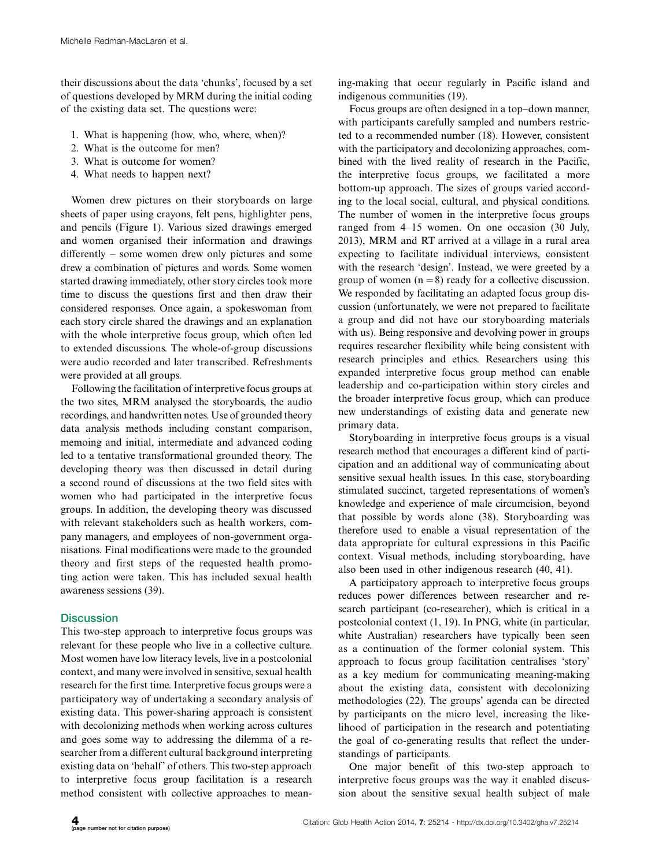their discussions about the data 'chunks', focused by a set of questions developed by MRM during the initial coding of the existing data set. The questions were:

- 1. What is happening (how, who, where, when)?
- 2. What is the outcome for men?
- 3. What is outcome for women?
- 4. What needs to happen next?

Women drew pictures on their storyboards on large sheets of paper using crayons, felt pens, highlighter pens, and pencils (Figure 1). Various sized drawings emerged and women organised their information and drawings differently - some women drew only pictures and some drew a combination of pictures and words. Some women started drawing immediately, other story circles took more time to discuss the questions first and then draw their considered responses. Once again, a spokeswoman from each story circle shared the drawings and an explanation with the whole interpretive focus group, which often led to extended discussions. The whole-of-group discussions were audio recorded and later transcribed. Refreshments were provided at all groups.

Following the facilitation of interpretive focus groups at the two sites, MRM analysed the storyboards, the audio recordings, and handwritten notes. Use of grounded theory data analysis methods including constant comparison, memoing and initial, intermediate and advanced coding led to a tentative transformational grounded theory. The developing theory was then discussed in detail during a second round of discussions at the two field sites with women who had participated in the interpretive focus groups. In addition, the developing theory was discussed with relevant stakeholders such as health workers, company managers, and employees of non-government organisations. Final modifications were made to the grounded theory and first steps of the requested health promoting action were taken. This has included sexual health awareness sessions (39).

# **Discussion**

This two-step approach to interpretive focus groups was relevant for these people who live in a collective culture. Most women have low literacy levels, live in a postcolonial context, and many were involved in sensitive, sexual health research for the first time. Interpretive focus groups were a participatory way of undertaking a secondary analysis of existing data. This power-sharing approach is consistent with decolonizing methods when working across cultures and goes some way to addressing the dilemma of a researcher from a different cultural background interpreting existing data on 'behalf' of others. This two-step approach to interpretive focus group facilitation is a research method consistent with collective approaches to meaning-making that occur regularly in Pacific island and indigenous communities (19).

Focus groups are often designed in a top-down manner, with participants carefully sampled and numbers restricted to a recommended number (18). However, consistent with the participatory and decolonizing approaches, combined with the lived reality of research in the Pacific, the interpretive focus groups, we facilitated a more bottom-up approach. The sizes of groups varied according to the local social, cultural, and physical conditions. The number of women in the interpretive focus groups ranged from 4-15 women. On one occasion (30 July, 2013), MRM and RT arrived at a village in a rural area expecting to facilitate individual interviews, consistent with the research 'design'. Instead, we were greeted by a group of women  $(n=8)$  ready for a collective discussion. We responded by facilitating an adapted focus group discussion (unfortunately, we were not prepared to facilitate a group and did not have our storyboarding materials with us). Being responsive and devolving power in groups requires researcher flexibility while being consistent with research principles and ethics. Researchers using this expanded interpretive focus group method can enable leadership and co-participation within story circles and the broader interpretive focus group, which can produce new understandings of existing data and generate new primary data.

Storyboarding in interpretive focus groups is a visual research method that encourages a different kind of participation and an additional way of communicating about sensitive sexual health issues. In this case, storyboarding stimulated succinct, targeted representations of women's knowledge and experience of male circumcision, beyond that possible by words alone (38). Storyboarding was therefore used to enable a visual representation of the data appropriate for cultural expressions in this Pacific context. Visual methods, including storyboarding, have also been used in other indigenous research (40, 41).

A participatory approach to interpretive focus groups reduces power differences between researcher and research participant (co-researcher), which is critical in a postcolonial context (1, 19). In PNG, white (in particular, white Australian) researchers have typically been seen as a continuation of the former colonial system. This approach to focus group facilitation centralises 'story' as a key medium for communicating meaning-making about the existing data, consistent with decolonizing methodologies (22). The groups' agenda can be directed by participants on the micro level, increasing the likelihood of participation in the research and potentiating the goal of co-generating results that reflect the understandings of participants.

One major benefit of this two-step approach to interpretive focus groups was the way it enabled discussion about the sensitive sexual health subject of male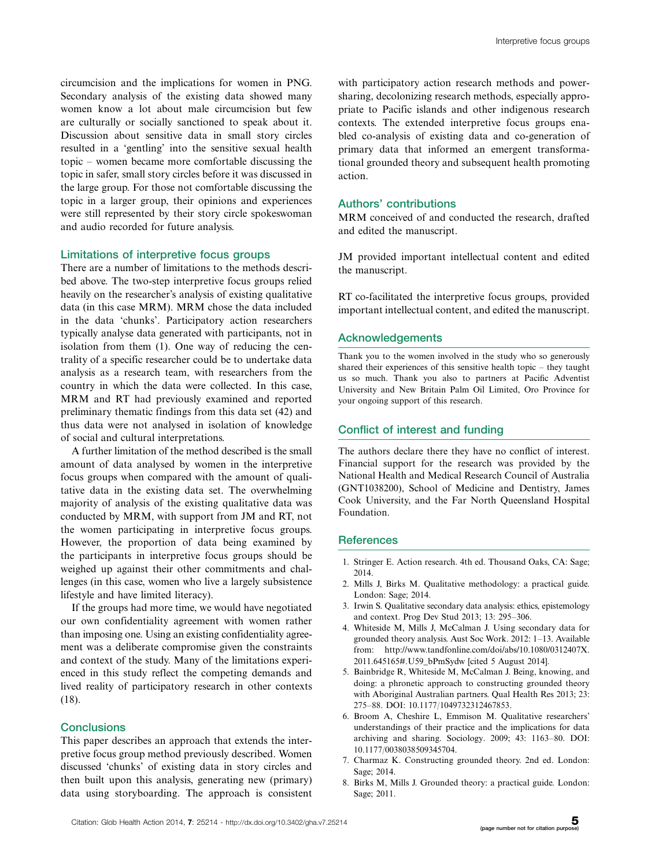circumcision and the implications for women in PNG. Secondary analysis of the existing data showed many women know a lot about male circumcision but few are culturally or socially sanctioned to speak about it. Discussion about sensitive data in small story circles resulted in a 'gentling' into the sensitive sexual health topic - women became more comfortable discussing the topic in safer, small story circles before it was discussed in the large group. For those not comfortable discussing the topic in a larger group, their opinions and experiences were still represented by their story circle spokeswoman and audio recorded for future analysis.

#### Limitations of interpretive focus groups

There are a number of limitations to the methods described above. The two-step interpretive focus groups relied heavily on the researcher's analysis of existing qualitative data (in this case MRM). MRM chose the data included in the data 'chunks'. Participatory action researchers typically analyse data generated with participants, not in isolation from them (1). One way of reducing the centrality of a specific researcher could be to undertake data analysis as a research team, with researchers from the country in which the data were collected. In this case, MRM and RT had previously examined and reported preliminary thematic findings from this data set (42) and thus data were not analysed in isolation of knowledge of social and cultural interpretations.

A further limitation of the method described is the small amount of data analysed by women in the interpretive focus groups when compared with the amount of qualitative data in the existing data set. The overwhelming majority of analysis of the existing qualitative data was conducted by MRM, with support from JM and RT, not the women participating in interpretive focus groups. However, the proportion of data being examined by the participants in interpretive focus groups should be weighed up against their other commitments and challenges (in this case, women who live a largely subsistence lifestyle and have limited literacy).

If the groups had more time, we would have negotiated our own confidentiality agreement with women rather than imposing one. Using an existing confidentiality agreement was a deliberate compromise given the constraints and context of the study. Many of the limitations experienced in this study reflect the competing demands and lived reality of participatory research in other contexts (18).

#### **Conclusions**

This paper describes an approach that extends the interpretive focus group method previously described. Women discussed 'chunks' of existing data in story circles and then built upon this analysis, generating new (primary) data using storyboarding. The approach is consistent with participatory action research methods and powersharing, decolonizing research methods, especially appropriate to Pacific islands and other indigenous research contexts. The extended interpretive focus groups enabled co-analysis of existing data and co-generation of primary data that informed an emergent transformational grounded theory and subsequent health promoting action.

#### Authors' contributions

MRM conceived of and conducted the research, drafted and edited the manuscript.

JM provided important intellectual content and edited the manuscript.

RT co-facilitated the interpretive focus groups, provided important intellectual content, and edited the manuscript.

#### Acknowledgements

Thank you to the women involved in the study who so generously shared their experiences of this sensitive health topic - they taught us so much. Thank you also to partners at Pacific Adventist University and New Britain Palm Oil Limited, Oro Province for your ongoing support of this research.

#### Conflict of interest and funding

The authors declare there they have no conflict of interest. Financial support for the research was provided by the National Health and Medical Research Council of Australia (GNT1038200), School of Medicine and Dentistry, James Cook University, and the Far North Queensland Hospital Foundation.

#### **References**

- 1. Stringer E. Action research. 4th ed. Thousand Oaks, CA: Sage; 2014.
- 2. Mills J, Birks M. Qualitative methodology: a practical guide. London: Sage; 2014.
- 3. Irwin S. Qualitative secondary data analysis: ethics, epistemology and context. Prog Dev Stud 2013; 13: 295-306.
- 4. Whiteside M, Mills J, McCalman J. Using secondary data for grounded theory analysis. Aust Soc Work. 2012: 1-13. Available from: [http://www.tandfonline.com/doi/abs/10.1080/0312407X.](http://www.tandfonline.com/doi/abs/10.1080/0312407X.2011.645165#.U59_bPmSydw) [2011.645165#.U59\\_bPmSydw](http://www.tandfonline.com/doi/abs/10.1080/0312407X.2011.645165#.U59_bPmSydw) [cited 5 August 2014].
- 5. Bainbridge R, Whiteside M, McCalman J. Being, knowing, and doing: a phronetic approach to constructing grounded theory with Aboriginal Australian partners. Qual Health Res 2013; 23: 275-88. DOI: 10.1177/1049732312467853.
- 6. Broom A, Cheshire L, Emmison M. Qualitative researchers' understandings of their practice and the implications for data archiving and sharing. Sociology. 2009; 43: 1163-80. DOI: 10.1177/0038038509345704.
- 7. Charmaz K. Constructing grounded theory. 2nd ed. London: Sage; 2014.
- 8. Birks M, Mills J. Grounded theory: a practical guide. London: Sage; 2011.